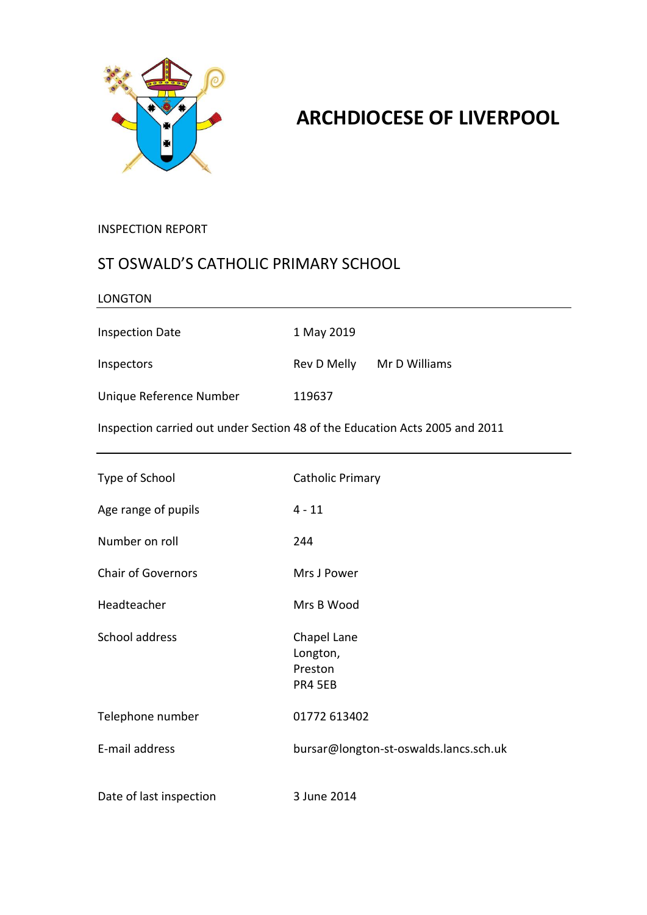

# **ARCHDIOCESE OF LIVERPOOL**

#### INSPECTION REPORT

### ST OSWALD'S CATHOLIC PRIMARY SCHOOL

| <b>LONGTON</b>                                                              |                                                      |  |
|-----------------------------------------------------------------------------|------------------------------------------------------|--|
| <b>Inspection Date</b>                                                      | 1 May 2019                                           |  |
| Inspectors                                                                  | Rev D Melly<br>Mr D Williams                         |  |
| Unique Reference Number                                                     | 119637                                               |  |
| Inspection carried out under Section 48 of the Education Acts 2005 and 2011 |                                                      |  |
| Type of School                                                              | <b>Catholic Primary</b>                              |  |
| Age range of pupils                                                         | $4 - 11$                                             |  |
| Number on roll                                                              | 244                                                  |  |
| <b>Chair of Governors</b>                                                   | Mrs J Power                                          |  |
| Headteacher                                                                 | Mrs B Wood                                           |  |
| School address                                                              | Chapel Lane<br>Longton,<br>Preston<br><b>PR4 5EB</b> |  |
| Telephone number                                                            | 01772 613402                                         |  |
| E-mail address                                                              | bursar@longton-st-oswalds.lancs.sch.uk               |  |
| Date of last inspection                                                     | 3 June 2014                                          |  |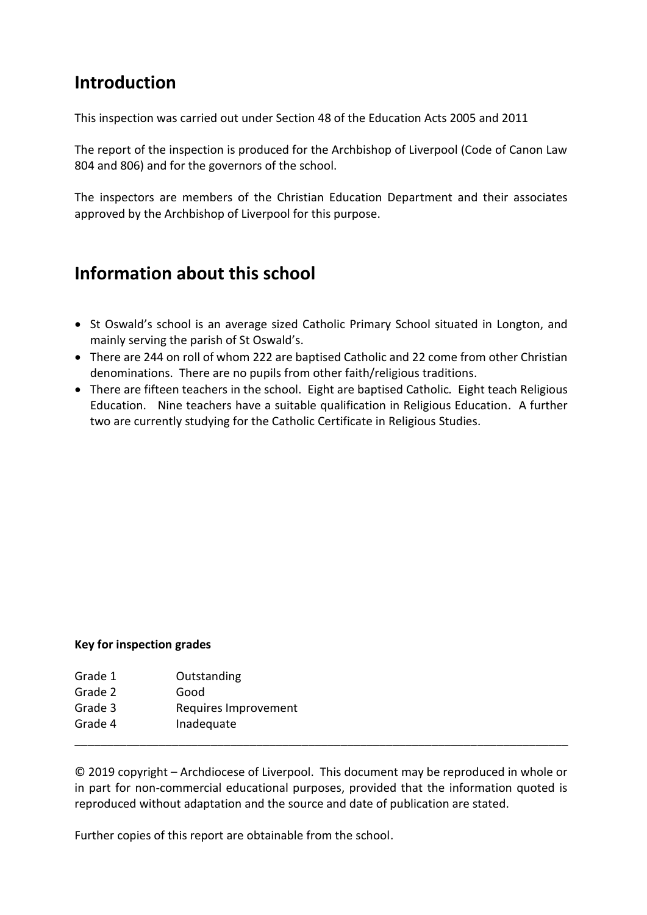## **Introduction**

This inspection was carried out under Section 48 of the Education Acts 2005 and 2011

The report of the inspection is produced for the Archbishop of Liverpool (Code of Canon Law 804 and 806) and for the governors of the school.

The inspectors are members of the Christian Education Department and their associates approved by the Archbishop of Liverpool for this purpose.

## **Information about this school**

- St Oswald's school is an average sized Catholic Primary School situated in Longton, and mainly serving the parish of St Oswald's.
- There are 244 on roll of whom 222 are baptised Catholic and 22 come from other Christian denominations. There are no pupils from other faith/religious traditions.
- There are fifteen teachers in the school. Eight are baptised Catholic*.* Eight teach Religious Education. Nine teachers have a suitable qualification in Religious Education. A further two are currently studying for the Catholic Certificate in Religious Studies.

#### **Key for inspection grades**

- Grade 1 Outstanding Grade 2 Good
- Grade 3 Requires Improvement
- Grade 4 Inadequate

© 2019 copyright – Archdiocese of Liverpool. This document may be reproduced in whole or in part for non-commercial educational purposes, provided that the information quoted is reproduced without adaptation and the source and date of publication are stated.

\_\_\_\_\_\_\_\_\_\_\_\_\_\_\_\_\_\_\_\_\_\_\_\_\_\_\_\_\_\_\_\_\_\_\_\_\_\_\_\_\_\_\_\_\_\_\_\_\_\_\_\_\_\_\_\_\_\_\_\_\_\_\_\_\_\_\_\_\_\_\_\_\_\_\_\_

Further copies of this report are obtainable from the school.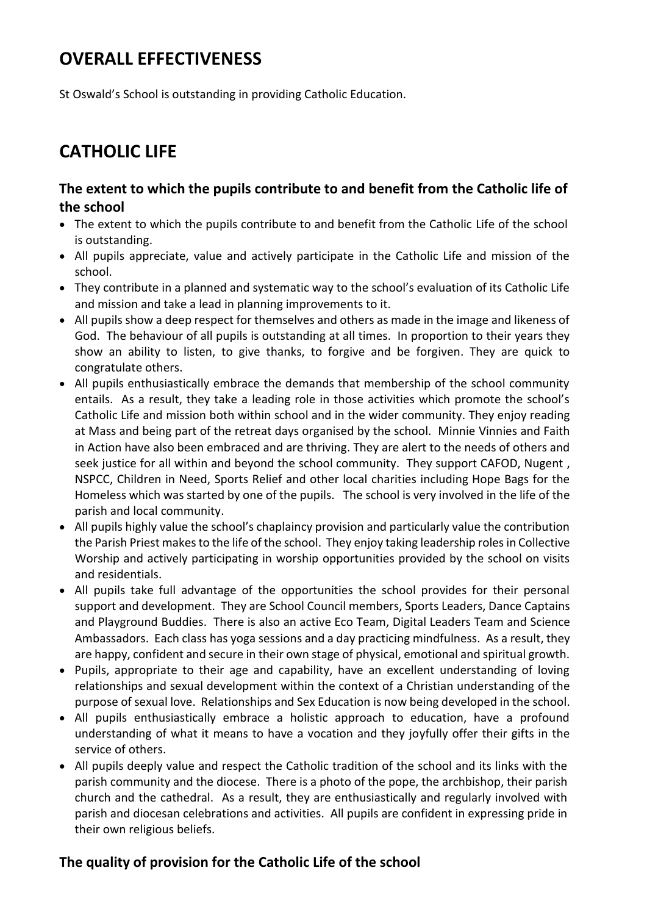## **OVERALL EFFECTIVENESS**

St Oswald's School is outstanding in providing Catholic Education.

# **CATHOLIC LIFE**

#### **The extent to which the pupils contribute to and benefit from the Catholic life of the school**

- The extent to which the pupils contribute to and benefit from the Catholic Life of the school is outstanding.
- All pupils appreciate, value and actively participate in the Catholic Life and mission of the school.
- They contribute in a planned and systematic way to the school's evaluation of its Catholic Life and mission and take a lead in planning improvements to it.
- All pupils show a deep respect for themselves and others as made in the image and likeness of God. The behaviour of all pupils is outstanding at all times. In proportion to their years they show an ability to listen, to give thanks, to forgive and be forgiven. They are quick to congratulate others.
- All pupils enthusiastically embrace the demands that membership of the school community entails. As a result, they take a leading role in those activities which promote the school's Catholic Life and mission both within school and in the wider community. They enjoy reading at Mass and being part of the retreat days organised by the school. Minnie Vinnies and Faith in Action have also been embraced and are thriving. They are alert to the needs of others and seek justice for all within and beyond the school community. They support CAFOD, Nugent , NSPCC, Children in Need, Sports Relief and other local charities including Hope Bags for the Homeless which was started by one of the pupils. The school is very involved in the life of the parish and local community.
- All pupils highly value the school's chaplaincy provision and particularly value the contribution the Parish Priest makesto the life of the school. They enjoy taking leadership roles in Collective Worship and actively participating in worship opportunities provided by the school on visits and residentials.
- All pupils take full advantage of the opportunities the school provides for their personal support and development. They are School Council members, Sports Leaders, Dance Captains and Playground Buddies. There is also an active Eco Team, Digital Leaders Team and Science Ambassadors. Each class has yoga sessions and a day practicing mindfulness. As a result, they are happy, confident and secure in their own stage of physical, emotional and spiritual growth.
- Pupils, appropriate to their age and capability, have an excellent understanding of loving relationships and sexual development within the context of a Christian understanding of the purpose of sexual love. Relationships and Sex Education is now being developed in the school.
- All pupils enthusiastically embrace a holistic approach to education, have a profound understanding of what it means to have a vocation and they joyfully offer their gifts in the service of others.
- All pupils deeply value and respect the Catholic tradition of the school and its links with the parish community and the diocese. There is a photo of the pope, the archbishop, their parish church and the cathedral. As a result, they are enthusiastically and regularly involved with parish and diocesan celebrations and activities. All pupils are confident in expressing pride in their own religious beliefs.

### **The quality of provision for the Catholic Life of the school**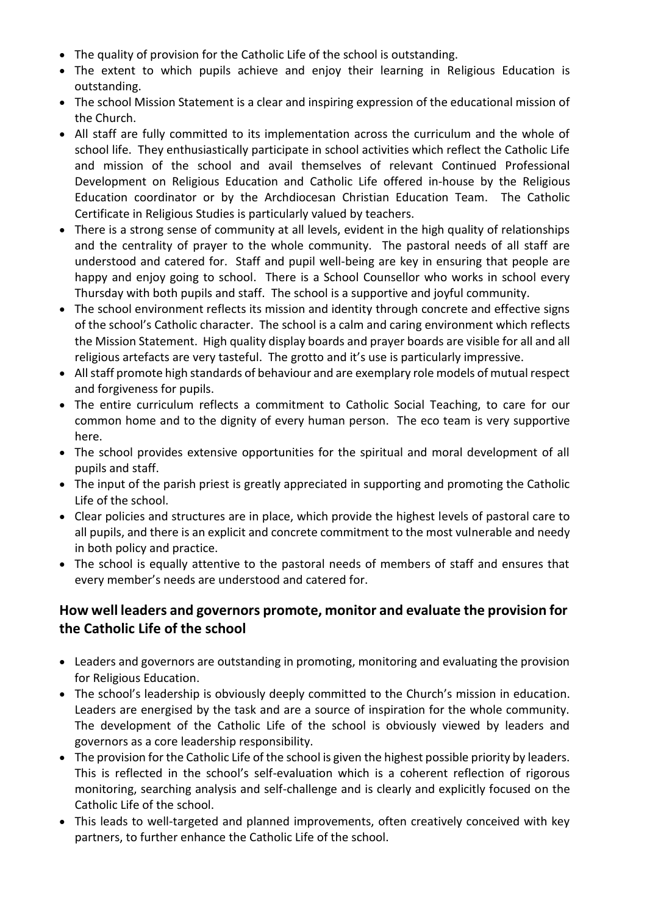- The quality of provision for the Catholic Life of the school is outstanding.
- The extent to which pupils achieve and enjoy their learning in Religious Education is outstanding.
- The school Mission Statement is a clear and inspiring expression of the educational mission of the Church.
- All staff are fully committed to its implementation across the curriculum and the whole of school life. They enthusiastically participate in school activities which reflect the Catholic Life and mission of the school and avail themselves of relevant Continued Professional Development on Religious Education and Catholic Life offered in-house by the Religious Education coordinator or by the Archdiocesan Christian Education Team. The Catholic Certificate in Religious Studies is particularly valued by teachers.
- There is a strong sense of community at all levels, evident in the high quality of relationships and the centrality of prayer to the whole community. The pastoral needs of all staff are understood and catered for. Staff and pupil well-being are key in ensuring that people are happy and enjoy going to school. There is a School Counsellor who works in school every Thursday with both pupils and staff. The school is a supportive and joyful community.
- The school environment reflects its mission and identity through concrete and effective signs of the school's Catholic character. The school is a calm and caring environment which reflects the Mission Statement. High quality display boards and prayer boards are visible for all and all religious artefacts are very tasteful. The grotto and it's use is particularly impressive.
- All staff promote high standards of behaviour and are exemplary role models of mutual respect and forgiveness for pupils.
- The entire curriculum reflects a commitment to Catholic Social Teaching, to care for our common home and to the dignity of every human person. The eco team is very supportive here.
- The school provides extensive opportunities for the spiritual and moral development of all pupils and staff.
- The input of the parish priest is greatly appreciated in supporting and promoting the Catholic Life of the school.
- Clear policies and structures are in place, which provide the highest levels of pastoral care to all pupils, and there is an explicit and concrete commitment to the most vulnerable and needy in both policy and practice.
- The school is equally attentive to the pastoral needs of members of staff and ensures that every member's needs are understood and catered for.

### **How well leaders and governors promote, monitor and evaluate the provision for the Catholic Life of the school**

- Leaders and governors are outstanding in promoting, monitoring and evaluating the provision for Religious Education.
- The school's leadership is obviously deeply committed to the Church's mission in education. Leaders are energised by the task and are a source of inspiration for the whole community. The development of the Catholic Life of the school is obviously viewed by leaders and governors as a core leadership responsibility.
- The provision for the Catholic Life of the school is given the highest possible priority by leaders. This is reflected in the school's self-evaluation which is a coherent reflection of rigorous monitoring, searching analysis and self-challenge and is clearly and explicitly focused on the Catholic Life of the school.
- This leads to well-targeted and planned improvements, often creatively conceived with key partners, to further enhance the Catholic Life of the school.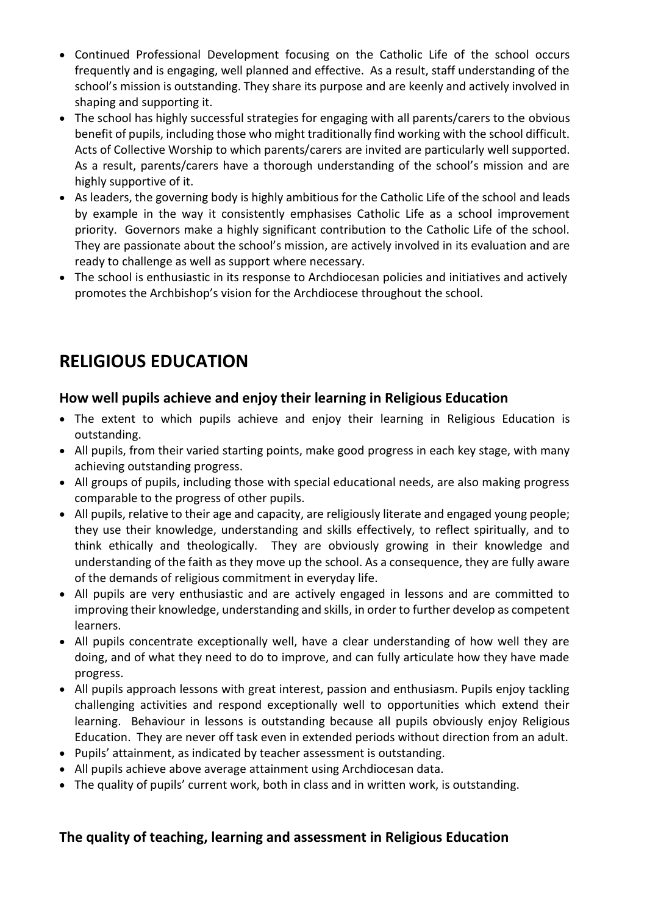- Continued Professional Development focusing on the Catholic Life of the school occurs frequently and is engaging, well planned and effective. As a result, staff understanding of the school's mission is outstanding. They share its purpose and are keenly and actively involved in shaping and supporting it.
- The school has highly successful strategies for engaging with all parents/carers to the obvious benefit of pupils, including those who might traditionally find working with the school difficult. Acts of Collective Worship to which parents/carers are invited are particularly well supported. As a result, parents/carers have a thorough understanding of the school's mission and are highly supportive of it.
- As leaders, the governing body is highly ambitious for the Catholic Life of the school and leads by example in the way it consistently emphasises Catholic Life as a school improvement priority. Governors make a highly significant contribution to the Catholic Life of the school. They are passionate about the school's mission, are actively involved in its evaluation and are ready to challenge as well as support where necessary.
- The school is enthusiastic in its response to Archdiocesan policies and initiatives and actively promotes the Archbishop's vision for the Archdiocese throughout the school.

## **RELIGIOUS EDUCATION**

#### **How well pupils achieve and enjoy their learning in Religious Education**

- The extent to which pupils achieve and enjoy their learning in Religious Education is outstanding.
- All pupils, from their varied starting points, make good progress in each key stage, with many achieving outstanding progress.
- All groups of pupils, including those with special educational needs, are also making progress comparable to the progress of other pupils.
- All pupils, relative to their age and capacity, are religiously literate and engaged young people; they use their knowledge, understanding and skills effectively, to reflect spiritually, and to think ethically and theologically. They are obviously growing in their knowledge and understanding of the faith as they move up the school. As a consequence, they are fully aware of the demands of religious commitment in everyday life.
- All pupils are very enthusiastic and are actively engaged in lessons and are committed to improving their knowledge, understanding and skills, in order to further develop as competent learners.
- All pupils concentrate exceptionally well, have a clear understanding of how well they are doing, and of what they need to do to improve, and can fully articulate how they have made progress.
- All pupils approach lessons with great interest, passion and enthusiasm. Pupils enjoy tackling challenging activities and respond exceptionally well to opportunities which extend their learning. Behaviour in lessons is outstanding because all pupils obviously enjoy Religious Education. They are never off task even in extended periods without direction from an adult.
- Pupils' attainment, as indicated by teacher assessment is outstanding.
- All pupils achieve above average attainment using Archdiocesan data.
- The quality of pupils' current work, both in class and in written work, is outstanding.

#### **The quality of teaching, learning and assessment in Religious Education**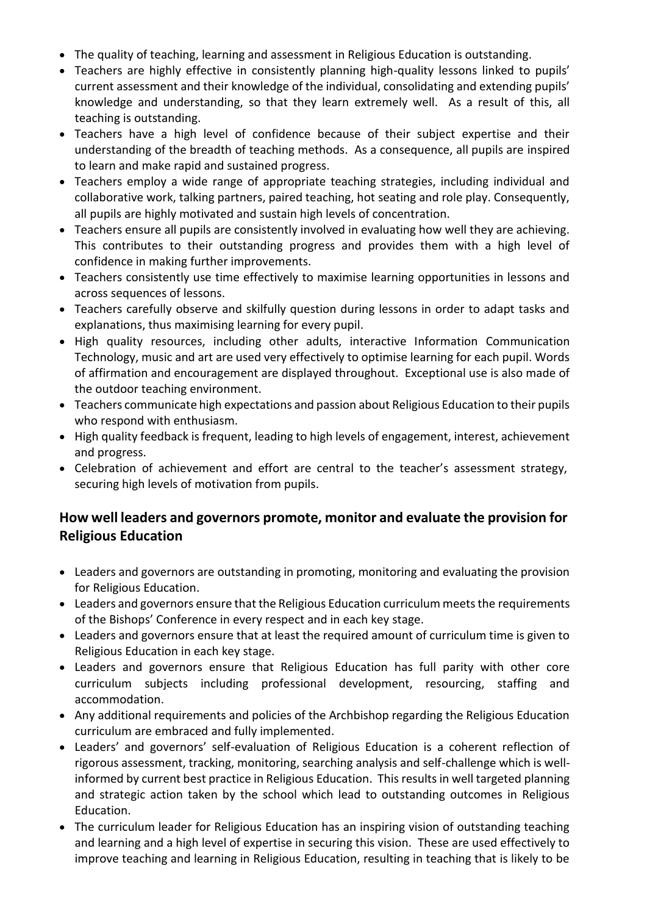- The quality of teaching, learning and assessment in Religious Education is outstanding.
- Teachers are highly effective in consistently planning high-quality lessons linked to pupils' current assessment and their knowledge of the individual, consolidating and extending pupils' knowledge and understanding, so that they learn extremely well. As a result of this, all teaching is outstanding.
- Teachers have a high level of confidence because of their subject expertise and their understanding of the breadth of teaching methods. As a consequence, all pupils are inspired to learn and make rapid and sustained progress.
- Teachers employ a wide range of appropriate teaching strategies, including individual and collaborative work, talking partners, paired teaching, hot seating and role play. Consequently, all pupils are highly motivated and sustain high levels of concentration.
- Teachers ensure all pupils are consistently involved in evaluating how well they are achieving. This contributes to their outstanding progress and provides them with a high level of confidence in making further improvements.
- Teachers consistently use time effectively to maximise learning opportunities in lessons and across sequences of lessons.
- Teachers carefully observe and skilfully question during lessons in order to adapt tasks and explanations, thus maximising learning for every pupil.
- High quality resources, including other adults, interactive Information Communication Technology, music and art are used very effectively to optimise learning for each pupil. Words of affirmation and encouragement are displayed throughout. Exceptional use is also made of the outdoor teaching environment.
- Teachers communicate high expectations and passion about Religious Education to their pupils who respond with enthusiasm.
- High quality feedback is frequent, leading to high levels of engagement, interest, achievement and progress.
- Celebration of achievement and effort are central to the teacher's assessment strategy, securing high levels of motivation from pupils.

### **How well leaders and governors promote, monitor and evaluate the provision for Religious Education**

- Leaders and governors are outstanding in promoting, monitoring and evaluating the provision for Religious Education.
- Leaders and governors ensure that the Religious Education curriculum meets the requirements of the Bishops' Conference in every respect and in each key stage.
- Leaders and governors ensure that at least the required amount of curriculum time is given to Religious Education in each key stage.
- Leaders and governors ensure that Religious Education has full parity with other core curriculum subjects including professional development, resourcing, staffing and accommodation.
- Any additional requirements and policies of the Archbishop regarding the Religious Education curriculum are embraced and fully implemented.
- Leaders' and governors' self-evaluation of Religious Education is a coherent reflection of rigorous assessment, tracking, monitoring, searching analysis and self-challenge which is wellinformed by current best practice in Religious Education. This results in well targeted planning and strategic action taken by the school which lead to outstanding outcomes in Religious Education.
- The curriculum leader for Religious Education has an inspiring vision of outstanding teaching and learning and a high level of expertise in securing this vision. These are used effectively to improve teaching and learning in Religious Education, resulting in teaching that is likely to be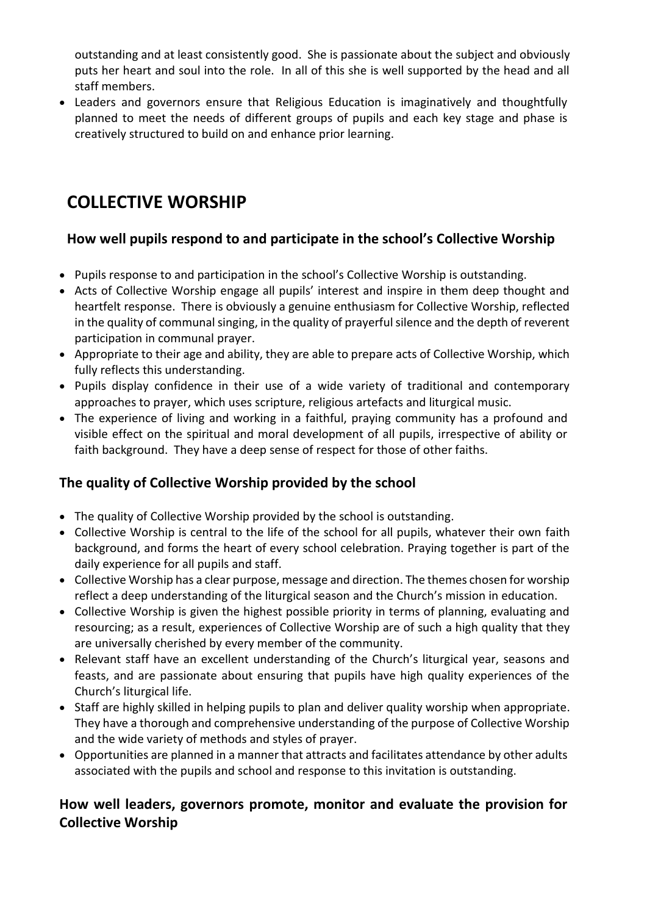outstanding and at least consistently good. She is passionate about the subject and obviously puts her heart and soul into the role. In all of this she is well supported by the head and all staff members.

 Leaders and governors ensure that Religious Education is imaginatively and thoughtfully planned to meet the needs of different groups of pupils and each key stage and phase is creatively structured to build on and enhance prior learning.

## **COLLECTIVE WORSHIP**

### **How well pupils respond to and participate in the school's Collective Worship**

- Pupils response to and participation in the school's Collective Worship is outstanding.
- Acts of Collective Worship engage all pupils' interest and inspire in them deep thought and heartfelt response. There is obviously a genuine enthusiasm for Collective Worship, reflected in the quality of communal singing, in the quality of prayerful silence and the depth of reverent participation in communal prayer.
- Appropriate to their age and ability, they are able to prepare acts of Collective Worship, which fully reflects this understanding.
- Pupils display confidence in their use of a wide variety of traditional and contemporary approaches to prayer, which uses scripture, religious artefacts and liturgical music.
- The experience of living and working in a faithful, praying community has a profound and visible effect on the spiritual and moral development of all pupils, irrespective of ability or faith background. They have a deep sense of respect for those of other faiths.

### **The quality of Collective Worship provided by the school**

- The quality of Collective Worship provided by the school is outstanding.
- Collective Worship is central to the life of the school for all pupils, whatever their own faith background, and forms the heart of every school celebration. Praying together is part of the daily experience for all pupils and staff.
- Collective Worship has a clear purpose, message and direction. The themes chosen for worship reflect a deep understanding of the liturgical season and the Church's mission in education.
- Collective Worship is given the highest possible priority in terms of planning, evaluating and resourcing; as a result, experiences of Collective Worship are of such a high quality that they are universally cherished by every member of the community.
- Relevant staff have an excellent understanding of the Church's liturgical year, seasons and feasts, and are passionate about ensuring that pupils have high quality experiences of the Church's liturgical life.
- Staff are highly skilled in helping pupils to plan and deliver quality worship when appropriate. They have a thorough and comprehensive understanding of the purpose of Collective Worship and the wide variety of methods and styles of prayer.
- Opportunities are planned in a manner that attracts and facilitates attendance by other adults associated with the pupils and school and response to this invitation is outstanding.

### **How well leaders, governors promote, monitor and evaluate the provision for Collective Worship**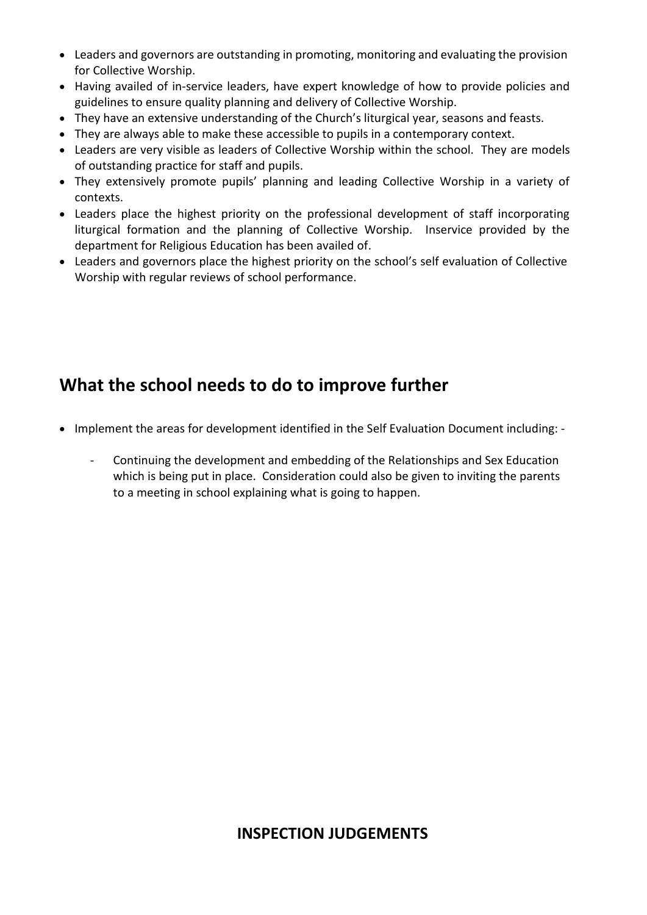- Leaders and governors are outstanding in promoting, monitoring and evaluating the provision for Collective Worship.
- Having availed of in-service leaders, have expert knowledge of how to provide policies and guidelines to ensure quality planning and delivery of Collective Worship.
- They have an extensive understanding of the Church's liturgical year, seasons and feasts.
- They are always able to make these accessible to pupils in a contemporary context.
- Leaders are very visible as leaders of Collective Worship within the school. They are models of outstanding practice for staff and pupils.
- They extensively promote pupils' planning and leading Collective Worship in a variety of contexts.
- Leaders place the highest priority on the professional development of staff incorporating liturgical formation and the planning of Collective Worship. Inservice provided by the department for Religious Education has been availed of.
- Leaders and governors place the highest priority on the school's self evaluation of Collective Worship with regular reviews of school performance.

## **What the school needs to do to improve further**

- Implement the areas for development identified in the Self Evaluation Document including: -
	- Continuing the development and embedding of the Relationships and Sex Education which is being put in place. Consideration could also be given to inviting the parents to a meeting in school explaining what is going to happen.

### **INSPECTION JUDGEMENTS**